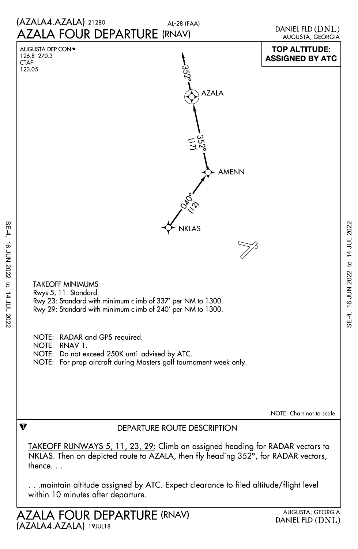

SE-4, 16 JUN 2022 to 14 JUL 2022

16 JUN 2022

 $SE-4$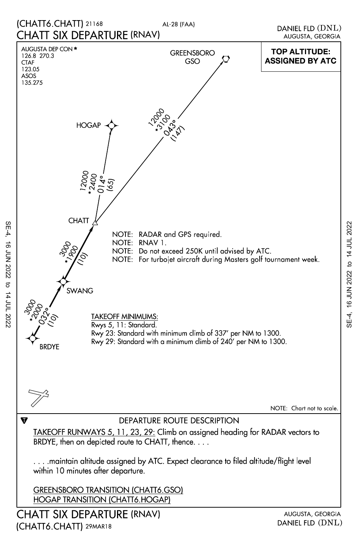

SE-4, 16 JUN 2022 to 14 JUL 2022

16 JUN 2022 to 14 JUL 2022

 $SE-4$ 

SE-4, 16 JUN 2022 to 14 JUL 2022 SE-4, 16 JUN 2022 to 14 JUL 2022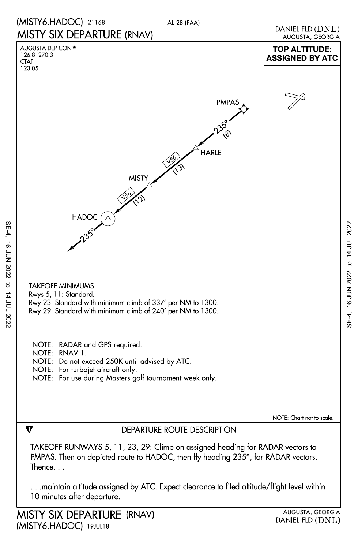



### Rwys 5, 11: Standard. TAKEOFF MINIMUMS

Rwy 23: Standard with minimum climb of 337' per NM to 1300.

Rwy 29: Standard with minimum climb of 240' per NM to 1300.

- NOTE: RADAR and GPS required.
- NOTE: RNAV 1.

 $\overline{\mathbf{v}}$ 

- NOTE: Do not exceed 250K until advised by ATC.
- NOTE: For turbojet aircraft only.
- NOTE: For use during Masters golf tournament week only.

NOTE: Chart not to scale.

## DEPARTURE ROUTE DESCRIPTION

Thence. . . PMPAS. Then on depicted route to HADOC, then fly heading 235°, for RADAR vectors. TAKEOFF RUNWAYS 5, 11, 23, 29: Climb on assigned heading for RADAR vectors to

10 minutes after departure. . . .maintain altitude assigned by ATC. Expect clearance to filed altitude/flight level within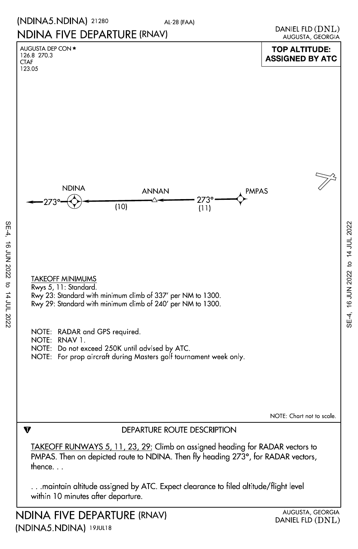### (NDINA5.NDINA) 21280

AL-28 (FAA)

# NDINA FIVE DEPARTURE (RNAV)

123.05 CTAF 126.8 270.3

SE-4, 16 JUN 2022 to 14 JUL 2022

16 JUN 2022 to 14 JUL 2022

 $SE-4$ ,



(NDINA5.NDINA) 19JUL18 NDINA FIVE DEPARTURE

AUGUSTA, GEORGIA DANIEL FLD (DNL)